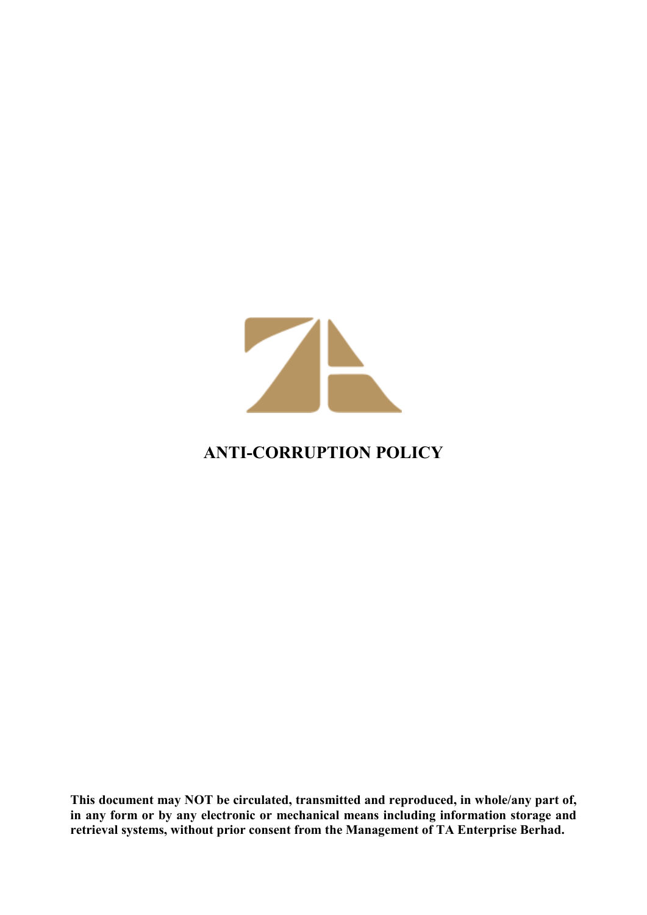

# **ANTI-CORRUPTION POLICY**

**This document may NOT be circulated, transmitted and reproduced, in whole/any part of, in any form or by any electronic or mechanical means including information storage and retrieval systems, without prior consent from the Management of TA Enterprise Berhad.**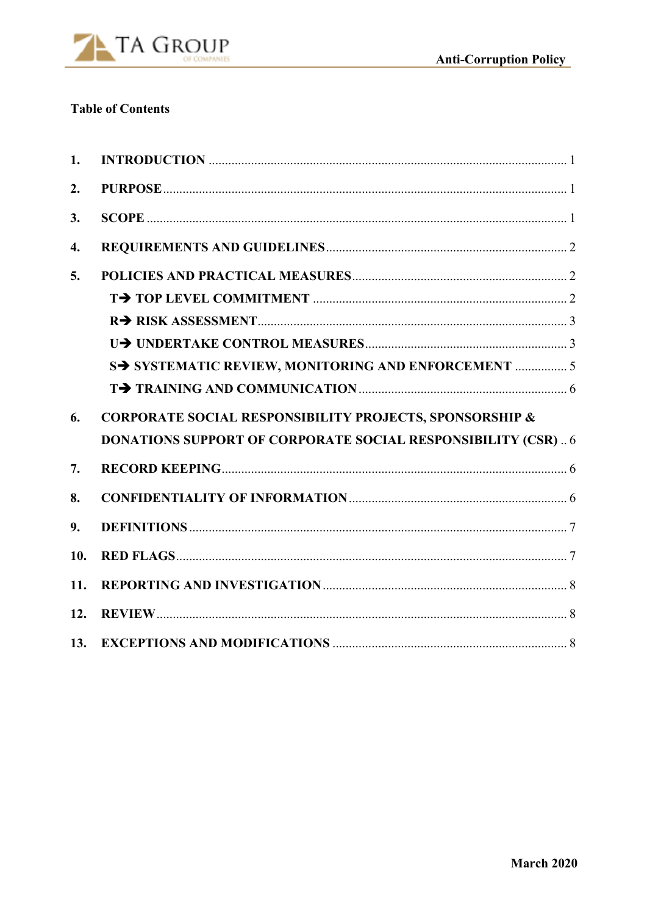

# **Table of Contents**

| 1.  |                                                                    |  |
|-----|--------------------------------------------------------------------|--|
| 2.  |                                                                    |  |
| 3.  |                                                                    |  |
| 4.  |                                                                    |  |
| 5.  |                                                                    |  |
|     |                                                                    |  |
|     |                                                                    |  |
|     |                                                                    |  |
|     | S> SYSTEMATIC REVIEW, MONITORING AND ENFORCEMENT  5                |  |
|     |                                                                    |  |
| 6.  | <b>CORPORATE SOCIAL RESPONSIBILITY PROJECTS, SPONSORSHIP &amp;</b> |  |
|     | <b>DONATIONS SUPPORT OF CORPORATE SOCIAL RESPONSIBILITY (CSR)6</b> |  |
| 7.  |                                                                    |  |
| 8.  |                                                                    |  |
| 9.  |                                                                    |  |
| 10. |                                                                    |  |
| 11. |                                                                    |  |
| 12. |                                                                    |  |
| 13. |                                                                    |  |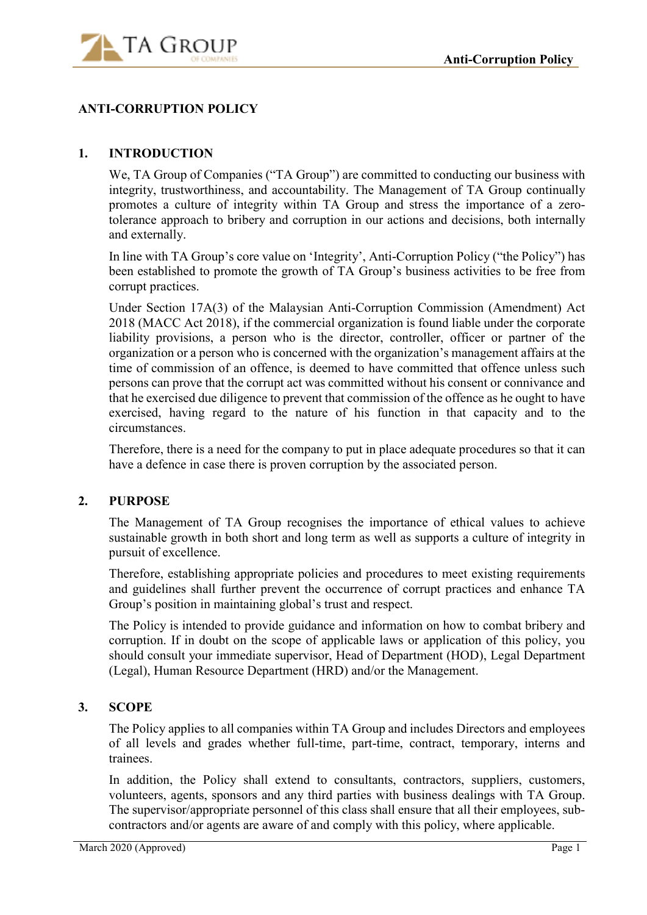

# **ANTI-CORRUPTION POLICY**

### **1. INTRODUCTION**

We, TA Group of Companies ("TA Group") are committed to conducting our business with integrity, trustworthiness, and accountability. The Management of TA Group continually promotes a culture of integrity within TA Group and stress the importance of a zerotolerance approach to bribery and corruption in our actions and decisions, both internally and externally.

In line with TA Group's core value on 'Integrity', Anti-Corruption Policy ("the Policy") has been established to promote the growth of TA Group's business activities to be free from corrupt practices.

Under Section 17A(3) of the Malaysian Anti-Corruption Commission (Amendment) Act 2018 (MACC Act 2018), if the commercial organization is found liable under the corporate liability provisions, a person who is the director, controller, officer or partner of the organization or a person who is concerned with the organization's management affairs at the time of commission of an offence, is deemed to have committed that offence unless such persons can prove that the corrupt act was committed without his consent or connivance and that he exercised due diligence to prevent that commission of the offence as he ought to have exercised, having regard to the nature of his function in that capacity and to the circumstances.

Therefore, there is a need for the company to put in place adequate procedures so that it can have a defence in case there is proven corruption by the associated person.

#### **2. PURPOSE**

The Management of TA Group recognises the importance of ethical values to achieve sustainable growth in both short and long term as well as supports a culture of integrity in pursuit of excellence.

Therefore, establishing appropriate policies and procedures to meet existing requirements and guidelines shall further prevent the occurrence of corrupt practices and enhance TA Group's position in maintaining global's trust and respect.

The Policy is intended to provide guidance and information on how to combat bribery and corruption. If in doubt on the scope of applicable laws or application of this policy, you should consult your immediate supervisor, Head of Department (HOD), Legal Department (Legal), Human Resource Department (HRD) and/or the Management.

#### **3. SCOPE**

The Policy applies to all companies within TA Group and includes Directors and employees of all levels and grades whether full-time, part-time, contract, temporary, interns and trainees.

In addition, the Policy shall extend to consultants, contractors, suppliers, customers, volunteers, agents, sponsors and any third parties with business dealings with TA Group. The supervisor/appropriate personnel of this class shall ensure that all their employees, subcontractors and/or agents are aware of and comply with this policy, where applicable.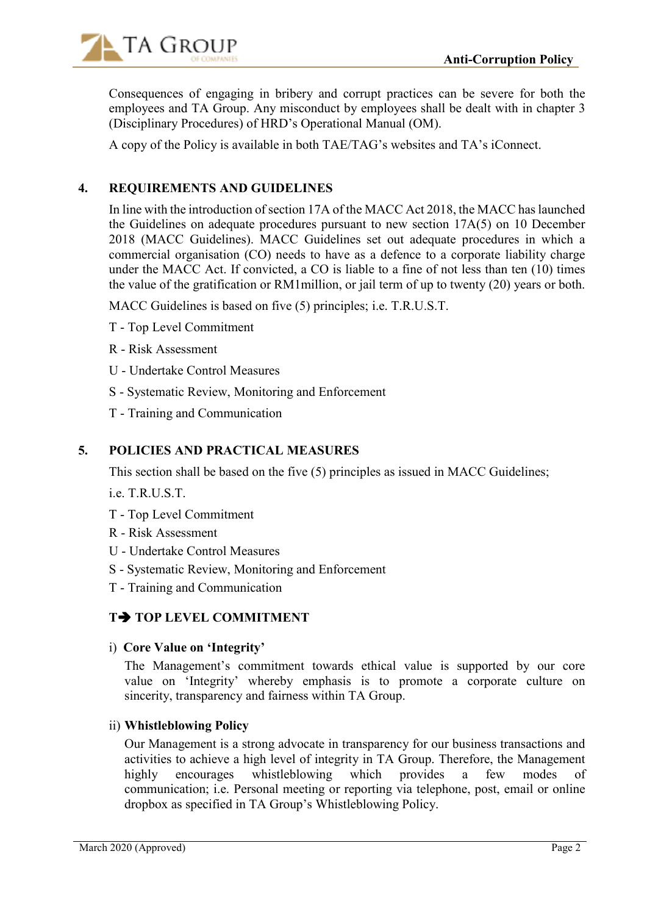

Consequences of engaging in bribery and corrupt practices can be severe for both the employees and TA Group. Any misconduct by employees shall be dealt with in chapter 3 (Disciplinary Procedures) of HRD's Operational Manual (OM).

A copy of the Policy is available in both TAE/TAG's websites and TA's iConnect.

### **4. REQUIREMENTS AND GUIDELINES**

In line with the introduction of section 17A of the MACC Act 2018, the MACC has launched the Guidelines on adequate procedures pursuant to new section 17A(5) on 10 December 2018 (MACC Guidelines). MACC Guidelines set out adequate procedures in which a commercial organisation (CO) needs to have as a defence to a corporate liability charge under the MACC Act. If convicted, a CO is liable to a fine of not less than ten (10) times the value of the gratification or RM1million, or jail term of up to twenty (20) years or both.

MACC Guidelines is based on five (5) principles; i.e. T.R.U.S.T.

- T Top Level Commitment
- R Risk Assessment
- U Undertake Control Measures
- S Systematic Review, Monitoring and Enforcement
- T Training and Communication

### **5. POLICIES AND PRACTICAL MEASURES**

This section shall be based on the five (5) principles as issued in MACC Guidelines;

ie. TRUST

- T Top Level Commitment
- R Risk Assessment
- U Undertake Control Measures
- S Systematic Review, Monitoring and Enforcement
- T Training and Communication

# **T TOP LEVEL COMMITMENT**

i) **Core Value on 'Integrity'** 

The Management's commitment towards ethical value is supported by our core value on 'Integrity' whereby emphasis is to promote a corporate culture on sincerity, transparency and fairness within TA Group.

#### ii) **Whistleblowing Policy**

Our Management is a strong advocate in transparency for our business transactions and activities to achieve a high level of integrity in TA Group. Therefore, the Management highly encourages whistleblowing which provides a few modes of communication; i.e. Personal meeting or reporting via telephone, post, email or online dropbox as specified in TA Group's Whistleblowing Policy.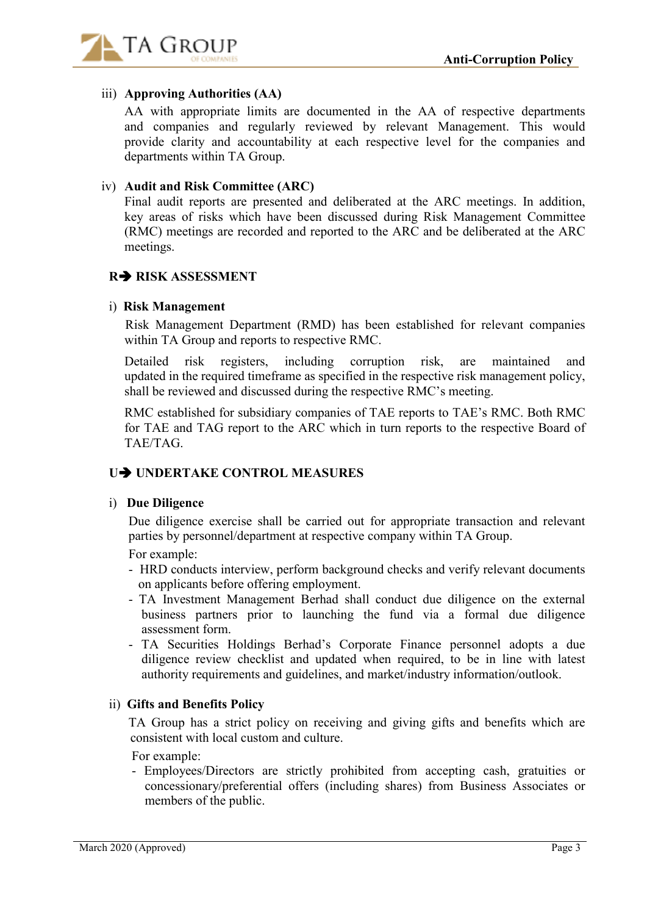

# iii) **Approving Authorities (AA)**

AA with appropriate limits are documented in the AA of respective departments and companies and regularly reviewed by relevant Management. This would provide clarity and accountability at each respective level for the companies and departments within TA Group.

### iv) **Audit and Risk Committee (ARC)**

Final audit reports are presented and deliberated at the ARC meetings. In addition, key areas of risks which have been discussed during Risk Management Committee (RMC) meetings are recorded and reported to the ARC and be deliberated at the ARC meetings.

# **R RISK ASSESSMENT**

### i) **Risk Management**

 Risk Management Department (RMD) has been established for relevant companies within TA Group and reports to respective RMC.

 Detailed risk registers, including corruption risk, are maintained and updated in the required timeframe as specified in the respective risk management policy, shall be reviewed and discussed during the respective RMC's meeting.

 RMC established for subsidiary companies of TAE reports to TAE's RMC. Both RMC for TAE and TAG report to the ARC which in turn reports to the respective Board of TAE/TAG.

# **U UNDERTAKE CONTROL MEASURES**

#### i) **Due Diligence**

 Due diligence exercise shall be carried out for appropriate transaction and relevant parties by personnel/department at respective company within TA Group.

For example:

- HRD conducts interview, perform background checks and verify relevant documents on applicants before offering employment.
- TA Investment Management Berhad shall conduct due diligence on the external business partners prior to launching the fund via a formal due diligence assessment form.
- TA Securities Holdings Berhad's Corporate Finance personnel adopts a due diligence review checklist and updated when required, to be in line with latest authority requirements and guidelines, and market/industry information/outlook.

# ii) **Gifts and Benefits Policy**

 TA Group has a strict policy on receiving and giving gifts and benefits which are consistent with local custom and culture.

For example:

 - Employees/Directors are strictly prohibited from accepting cash, gratuities or concessionary/preferential offers (including shares) from Business Associates or members of the public.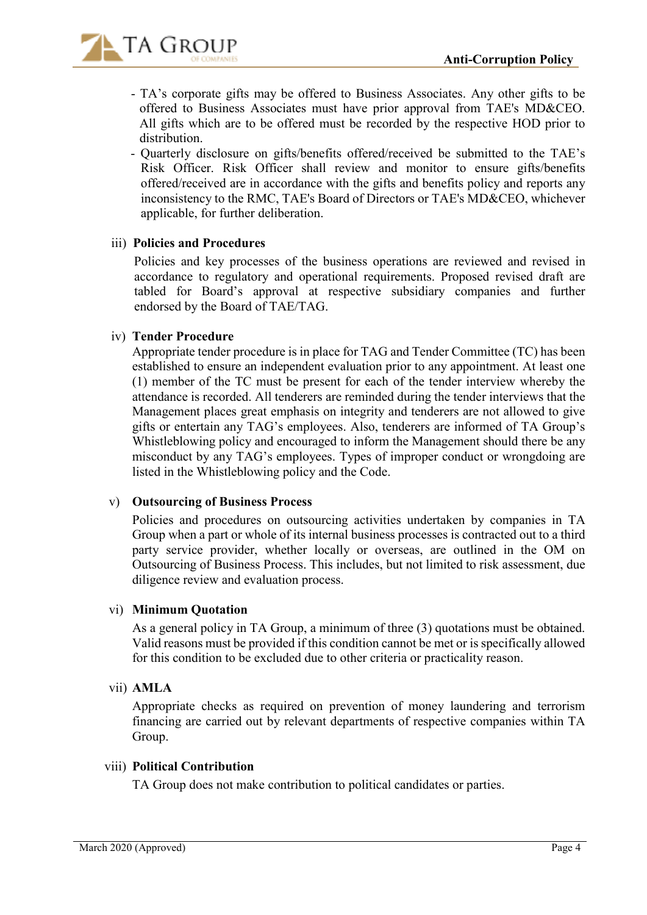

- TA's corporate gifts may be offered to Business Associates. Any other gifts to be offered to Business Associates must have prior approval from TAE's MD&CEO. All gifts which are to be offered must be recorded by the respective HOD prior to distribution.
- Quarterly disclosure on gifts/benefits offered/received be submitted to the TAE's Risk Officer. Risk Officer shall review and monitor to ensure gifts/benefits offered/received are in accordance with the gifts and benefits policy and reports any inconsistency to the RMC, TAE's Board of Directors or TAE's MD&CEO, whichever applicable, for further deliberation.

# iii) **Policies and Procedures**

 Policies and key processes of the business operations are reviewed and revised in accordance to regulatory and operational requirements. Proposed revised draft are tabled for Board's approval at respective subsidiary companies and further endorsed by the Board of TAE/TAG.

### iv) **Tender Procedure**

Appropriate tender procedure is in place for TAG and Tender Committee (TC) has been established to ensure an independent evaluation prior to any appointment. At least one (1) member of the TC must be present for each of the tender interview whereby the attendance is recorded. All tenderers are reminded during the tender interviews that the Management places great emphasis on integrity and tenderers are not allowed to give gifts or entertain any TAG's employees. Also, tenderers are informed of TA Group's Whistleblowing policy and encouraged to inform the Management should there be any misconduct by any TAG's employees. Types of improper conduct or wrongdoing are listed in the Whistleblowing policy and the Code.

# v) **Outsourcing of Business Process**

 Policies and procedures on outsourcing activities undertaken by companies in TA Group when a part or whole of its internal business processes is contracted out to a third party service provider, whether locally or overseas, are outlined in the OM on Outsourcing of Business Process. This includes, but not limited to risk assessment, due diligence review and evaluation process.

#### vi) **Minimum Quotation**

As a general policy in TA Group, a minimum of three (3) quotations must be obtained. Valid reasons must be provided if this condition cannot be met or is specifically allowed for this condition to be excluded due to other criteria or practicality reason.

#### vii) **AMLA**

 Appropriate checks as required on prevention of money laundering and terrorism financing are carried out by relevant departments of respective companies within TA Group.

### viii) **Political Contribution**

TA Group does not make contribution to political candidates or parties.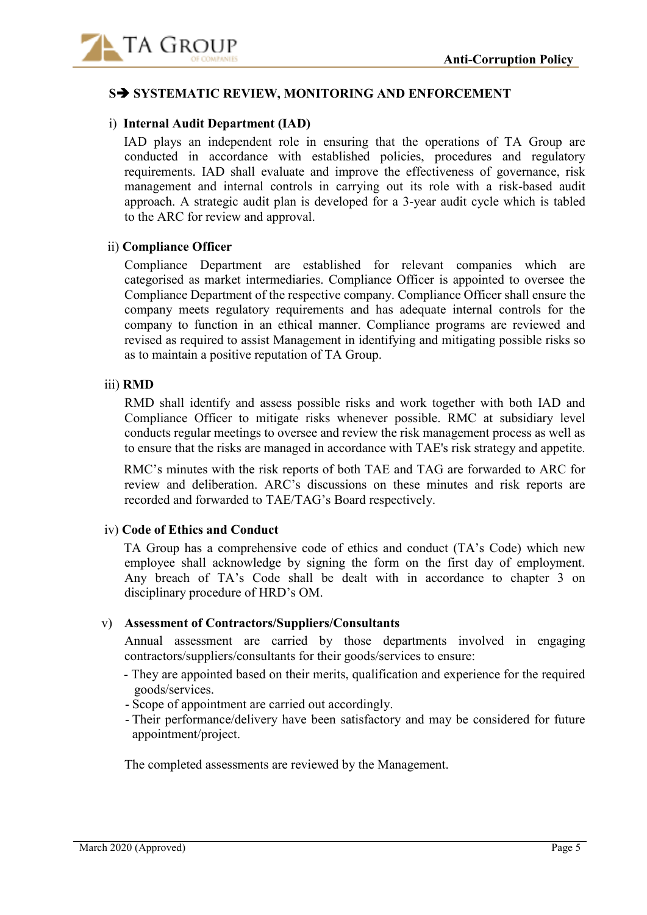

### **S SYSTEMATIC REVIEW, MONITORING AND ENFORCEMENT**

#### i) **Internal Audit Department (IAD)**

IAD plays an independent role in ensuring that the operations of TA Group are conducted in accordance with established policies, procedures and regulatory requirements. IAD shall evaluate and improve the effectiveness of governance, risk management and internal controls in carrying out its role with a risk-based audit approach. A strategic audit plan is developed for a 3-year audit cycle which is tabled to the ARC for review and approval.

#### ii) **Compliance Officer**

Compliance Department are established for relevant companies which are categorised as market intermediaries. Compliance Officer is appointed to oversee the Compliance Department of the respective company. Compliance Officer shall ensure the company meets regulatory requirements and has adequate internal controls for the company to function in an ethical manner. Compliance programs are reviewed and revised as required to assist Management in identifying and mitigating possible risks so as to maintain a positive reputation of TA Group.

#### iii) **RMD**

 RMD shall identify and assess possible risks and work together with both IAD and Compliance Officer to mitigate risks whenever possible. RMC at subsidiary level conducts regular meetings to oversee and review the risk management process as well as to ensure that the risks are managed in accordance with TAE's risk strategy and appetite.

RMC's minutes with the risk reports of both TAE and TAG are forwarded to ARC for review and deliberation. ARC's discussions on these minutes and risk reports are recorded and forwarded to TAE/TAG's Board respectively.

#### iv) **Code of Ethics and Conduct**

TA Group has a comprehensive code of ethics and conduct (TA's Code) which new employee shall acknowledge by signing the form on the first day of employment. Any breach of TA's Code shall be dealt with in accordance to chapter 3 on disciplinary procedure of HRD's OM.

#### v) **Assessment of Contractors/Suppliers/Consultants**

 Annual assessment are carried by those departments involved in engaging contractors/suppliers/consultants for their goods/services to ensure:

- They are appointed based on their merits, qualification and experience for the required goods/services.
- Scope of appointment are carried out accordingly.
- Their performance/delivery have been satisfactory and may be considered for future appointment/project.

The completed assessments are reviewed by the Management.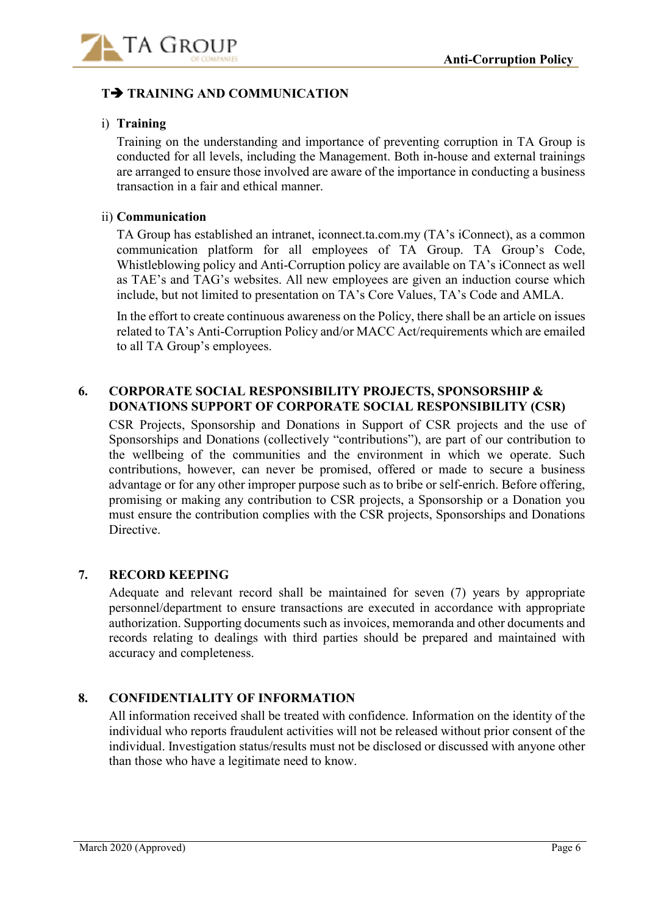

# **T TRAINING AND COMMUNICATION**

# i) **Training**

Training on the understanding and importance of preventing corruption in TA Group is conducted for all levels, including the Management. Both in-house and external trainings are arranged to ensure those involved are aware of the importance in conducting a business transaction in a fair and ethical manner.

### ii) **Communication**

TA Group has established an intranet, iconnect.ta.com.my (TA's iConnect), as a common communication platform for all employees of TA Group. TA Group's Code, Whistleblowing policy and Anti-Corruption policy are available on TA's iConnect as well as TAE's and TAG's websites. All new employees are given an induction course which include, but not limited to presentation on TA's Core Values, TA's Code and AMLA.

In the effort to create continuous awareness on the Policy, there shall be an article on issues related to TA's Anti-Corruption Policy and/or MACC Act/requirements which are emailed to all TA Group's employees.

# **6. CORPORATE SOCIAL RESPONSIBILITY PROJECTS, SPONSORSHIP & DONATIONS SUPPORT OF CORPORATE SOCIAL RESPONSIBILITY (CSR)**

CSR Projects, Sponsorship and Donations in Support of CSR projects and the use of Sponsorships and Donations (collectively "contributions"), are part of our contribution to the wellbeing of the communities and the environment in which we operate. Such contributions, however, can never be promised, offered or made to secure a business advantage or for any other improper purpose such as to bribe or self-enrich. Before offering, promising or making any contribution to CSR projects, a Sponsorship or a Donation you must ensure the contribution complies with the CSR projects, Sponsorships and Donations Directive.

#### **7. RECORD KEEPING**

Adequate and relevant record shall be maintained for seven (7) years by appropriate personnel/department to ensure transactions are executed in accordance with appropriate authorization. Supporting documents such as invoices, memoranda and other documents and records relating to dealings with third parties should be prepared and maintained with accuracy and completeness.

# **8. CONFIDENTIALITY OF INFORMATION**

All information received shall be treated with confidence. Information on the identity of the individual who reports fraudulent activities will not be released without prior consent of the individual. Investigation status/results must not be disclosed or discussed with anyone other than those who have a legitimate need to know.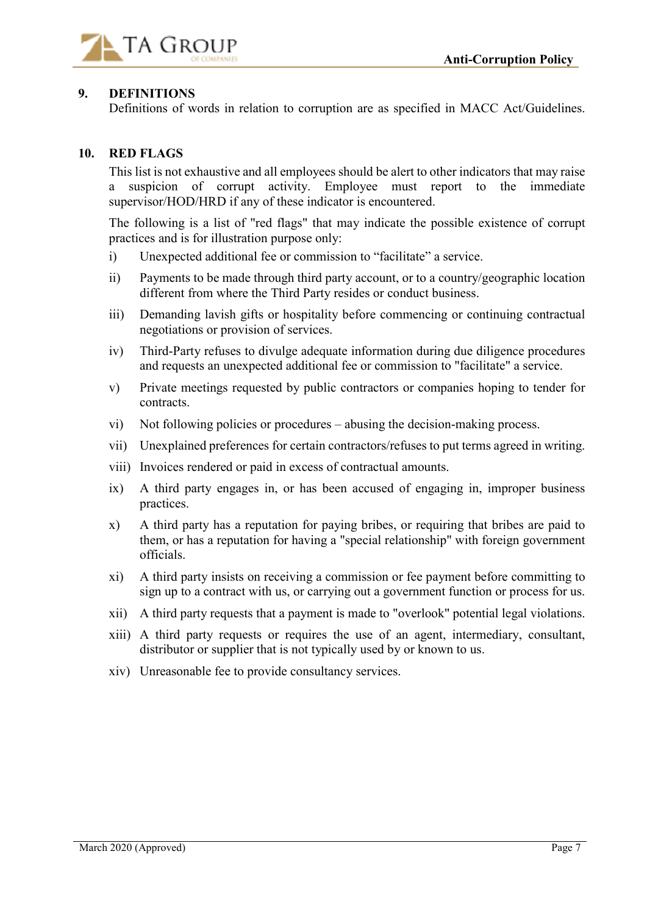

# **9. DEFINITIONS**

Definitions of words in relation to corruption are as specified in MACC Act/Guidelines.

# **10. RED FLAGS**

This list is not exhaustive and all employees should be alert to other indicators that may raise a suspicion of corrupt activity. Employee must report to the immediate supervisor/HOD/HRD if any of these indicator is encountered.

The following is a list of "red flags" that may indicate the possible existence of corrupt practices and is for illustration purpose only:

- i) Unexpected additional fee or commission to "facilitate" a service.
- ii) Payments to be made through third party account, or to a country/geographic location different from where the Third Party resides or conduct business.
- iii) Demanding lavish gifts or hospitality before commencing or continuing contractual negotiations or provision of services.
- iv) Third-Party refuses to divulge adequate information during due diligence procedures and requests an unexpected additional fee or commission to "facilitate" a service.
- v) Private meetings requested by public contractors or companies hoping to tender for contracts.
- vi) Not following policies or procedures abusing the decision-making process.
- vii) Unexplained preferences for certain contractors/refuses to put terms agreed in writing.
- viii) Invoices rendered or paid in excess of contractual amounts.
- ix) A third party engages in, or has been accused of engaging in, improper business practices.
- x) A third party has a reputation for paying bribes, or requiring that bribes are paid to them, or has a reputation for having a "special relationship" with foreign government officials.
- xi) A third party insists on receiving a commission or fee payment before committing to sign up to a contract with us, or carrying out a government function or process for us.
- xii) A third party requests that a payment is made to "overlook" potential legal violations.
- xiii) A third party requests or requires the use of an agent, intermediary, consultant, distributor or supplier that is not typically used by or known to us.
- xiv) Unreasonable fee to provide consultancy services.